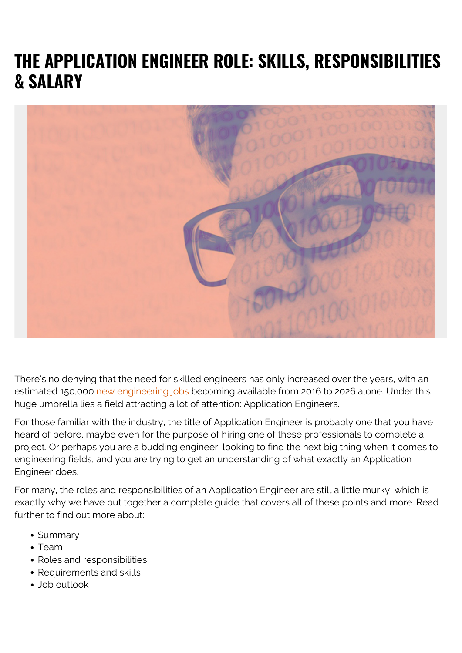# **THE APPLICATION ENGINEER ROLE: SKILLS, RESPONSIBILITIES & SALARY**



There's no denying that the need for skilled engineers has only increased over the years, with an estimated 150,000 [new engineering jobs](https://www.bls.gov/careeroutlook/2018/article/engineers.htm) becoming available from 2016 to 2026 alone. Under this huge umbrella lies a field attracting a lot of attention: Application Engineers.

For those familiar with the industry, the title of Application Engineer is probably one that you have heard of before, maybe even for the purpose of hiring one of these professionals to complete a project. Or perhaps you are a budding engineer, looking to find the next big thing when it comes to engineering fields, and you are trying to get an understanding of what exactly an Application Engineer does.

For many, the roles and responsibilities of an Application Engineer are still a little murky, which is exactly why we have put together a complete guide that covers all of these points and more. Read further to find out more about:

- Summary
- Team
- Roles and responsibilities
- Requirements and skills
- Job outlook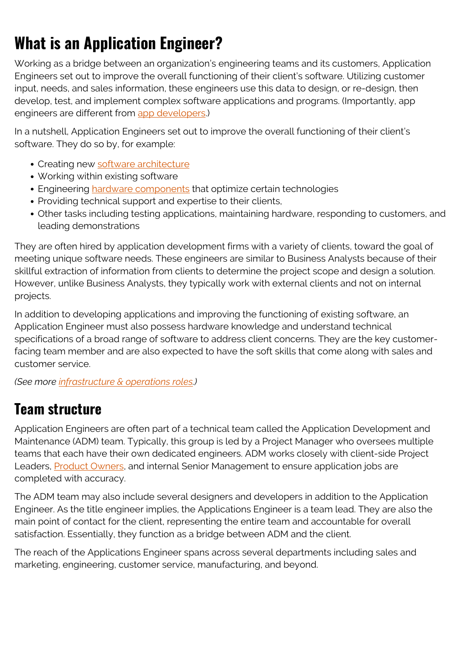# **What is an Application Engineer?**

Working as a bridge between an organization's engineering teams and its customers, Application Engineers set out to improve the overall functioning of their client's software. Utilizing customer input, needs, and sales information, these engineers use this data to design, or re-design, then develop, test, and implement complex software applications and programs. (Importantly, app engineers are different from [app developers.](https://blogs.bmc.com/blogs/application-developer-roles-responsibilities/))

In a nutshell, Application Engineers set out to improve the overall functioning of their client's software. They do so by, for example:

- Creating new [software architecture](https://blogs.bmc.com/blogs/microservices-vs-soa-whats-difference/)
- Working within existing software
- Engineering [hardware components](https://blogs.bmc.com/blogs/what-is-it-infrastructure-and-what-are-its-components/) that optimize certain technologies
- Providing technical support and expertise to their clients,
- Other tasks including testing applications, maintaining hardware, responding to customers, and leading demonstrations

They are often hired by application development firms with a variety of clients, toward the goal of meeting unique software needs. These engineers are similar to Business Analysts because of their skillful extraction of information from clients to determine the project scope and design a solution. However, unlike Business Analysts, they typically work with external clients and not on internal projects.

In addition to developing applications and improving the functioning of existing software, an Application Engineer must also possess hardware knowledge and understand technical specifications of a broad range of software to address client concerns. They are the key customerfacing team member and are also expected to have the soft skills that come along with sales and customer service.

*(See more [infrastructure & operations roles.](https://blogs.bmc.com/blogs/io-infrastructure-operations-organizations/))*

### **Team structure**

Application Engineers are often part of a technical team called the Application Development and Maintenance (ADM) team. Typically, this group is led by a Project Manager who oversees multiple teams that each have their own dedicated engineers. ADM works closely with client-side Project Leaders, **Product Owners**, and internal Senior Management to ensure application jobs are completed with accuracy.

The ADM team may also include several designers and developers in addition to the Application Engineer. As the title engineer implies, the Applications Engineer is a team lead. They are also the main point of contact for the client, representing the entire team and accountable for overall satisfaction. Essentially, they function as a bridge between ADM and the client.

The reach of the Applications Engineer spans across several departments including sales and marketing, engineering, customer service, manufacturing, and beyond.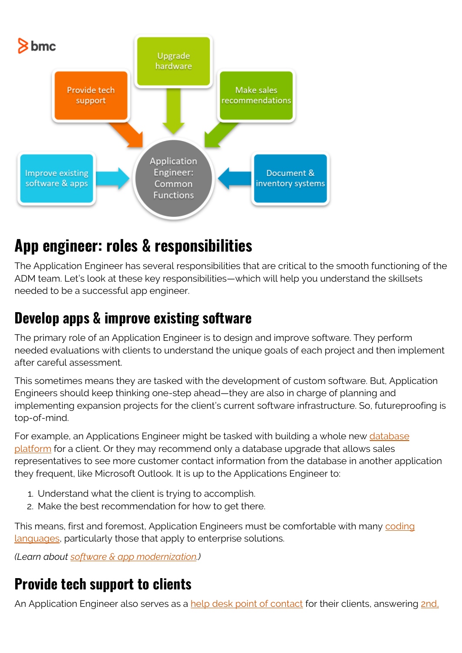

## **App engineer: roles & responsibilities**

The Application Engineer has several responsibilities that are critical to the smooth functioning of the ADM team. Let's look at these key responsibilities—which will help you understand the skillsets needed to be a successful app engineer.

### **Develop apps & improve existing software**

The primary role of an Application Engineer is to design and improve software. They perform needed evaluations with clients to understand the unique goals of each project and then implement after careful assessment.

This sometimes means they are tasked with the development of custom software. But, Application Engineers should keep thinking one-step ahead—they are also in charge of planning and implementing expansion projects for the client's current software infrastructure. So, futureproofing is top-of-mind.

For example, an Applications Engineer might be tasked with building a whole new [database](https://blogs.bmc.com/blogs/dbms-database-management-systems/) [platform](https://blogs.bmc.com/blogs/dbms-database-management-systems/) for a client. Or they may recommend only a database upgrade that allows sales representatives to see more customer contact information from the database in another application they frequent, like Microsoft Outlook. It is up to the Applications Engineer to:

- 1. Understand what the client is trying to accomplish.
- 2. Make the best recommendation for how to get there.

This means, first and foremost, Application Engineers must be comfortable with many [coding](https://blogs.bmc.com/blogs/programming-languages/) [languages,](https://blogs.bmc.com/blogs/programming-languages/) particularly those that apply to enterprise solutions.

*(Learn about [software & app modernization](https://blogs.bmc.com/blogs/application-software-modernization/).)*

### **Provide tech support to clients**

An Application Engineer also serves as a [help desk point of contact](https://blogs.bmc.com/blogs/help-desk-vs-service-desk-whats-difference/) for their clients, answering [2nd,](https://blogs.bmc.com/blogs/support-levels-level-1-level-2-level-3/)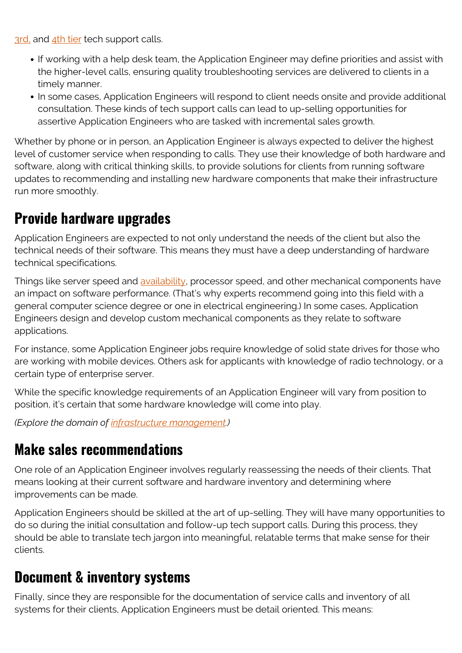[3rd,](https://blogs.bmc.com/blogs/support-levels-level-1-level-2-level-3/) and [4th tier](https://blogs.bmc.com/blogs/tier-4-support-worthwhile-invest-tier-4-support/) tech support calls.

- If working with a help desk team, the Application Engineer may define priorities and assist with the higher-level calls, ensuring quality troubleshooting services are delivered to clients in a timely manner.
- In some cases, Application Engineers will respond to client needs onsite and provide additional consultation. These kinds of tech support calls can lead to up-selling opportunities for assertive Application Engineers who are tasked with incremental sales growth.

Whether by phone or in person, an Application Engineer is always expected to deliver the highest level of customer service when responding to calls. They use their knowledge of both hardware and software, along with critical thinking skills, to provide solutions for clients from running software updates to recommending and installing new hardware components that make their infrastructure run more smoothly.

#### **Provide hardware upgrades**

Application Engineers are expected to not only understand the needs of the client but also the technical needs of their software. This means they must have a deep understanding of hardware technical specifications.

Things like server speed and [availability](https://blogs.bmc.com/blogs/reliability-vs-availability/), processor speed, and other mechanical components have an impact on software performance. (That's why experts recommend going into this field with a general computer science degree or one in electrical engineering.) In some cases, Application Engineers design and develop custom mechanical components as they relate to software applications.

For instance, some Application Engineer jobs require knowledge of solid state drives for those who are working with mobile devices. Others ask for applicants with knowledge of radio technology, or a certain type of enterprise server.

While the specific knowledge requirements of an Application Engineer will vary from position to position, it's certain that some hardware knowledge will come into play.

*(Explore the domain of [infrastructure management.](https://blogs.bmc.com/blogs/it-infrastructure-management/))*

#### **Make sales recommendations**

One role of an Application Engineer involves regularly reassessing the needs of their clients. That means looking at their current software and hardware inventory and determining where improvements can be made.

Application Engineers should be skilled at the art of up-selling. They will have many opportunities to do so during the initial consultation and follow-up tech support calls. During this process, they should be able to translate tech jargon into meaningful, relatable terms that make sense for their clients.

#### **Document & inventory systems**

Finally, since they are responsible for the documentation of service calls and inventory of all systems for their clients, Application Engineers must be detail oriented. This means: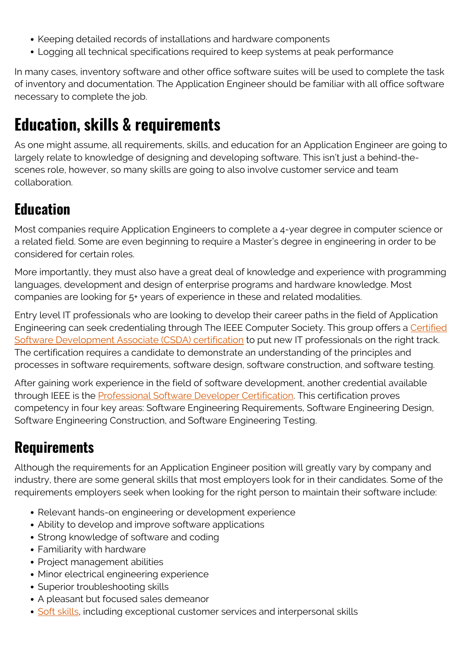- Keeping detailed records of installations and hardware components
- Logging all technical specifications required to keep systems at peak performance

In many cases, inventory software and other office software suites will be used to complete the task of inventory and documentation. The Application Engineer should be familiar with all office software necessary to complete the job.

## **Education, skills & requirements**

As one might assume, all requirements, skills, and education for an Application Engineer are going to largely relate to knowledge of designing and developing software. This isn't just a behind-thescenes role, however, so many skills are going to also involve customer service and team collaboration.

### **Education**

Most companies require Application Engineers to complete a 4-year degree in computer science or a related field. Some are even beginning to require a Master's degree in engineering in order to be considered for certain roles.

More importantly, they must also have a great deal of knowledge and experience with programming languages, development and design of enterprise programs and hardware knowledge. Most companies are looking for 5+ years of experience in these and related modalities.

Entry level IT professionals who are looking to develop their career paths in the field of Application Engineering can seek credentialing through The IEEE Computer Society. This group offers a [Certified](https://www.computer.org/product/education/associate-software-developer-certification) [Software Development Associate \(CSDA\) certification](https://www.computer.org/product/education/associate-software-developer-certification) to put new IT professionals on the right track. The certification requires a candidate to demonstrate an understanding of the principles and processes in software requirements, software design, software construction, and software testing.

After gaining work experience in the field of software development, another credential available through IEEE is the **Professional Software Developer Certification**. This certification proves competency in four key areas: Software Engineering Requirements, Software Engineering Design, Software Engineering Construction, and Software Engineering Testing.

### **Requirements**

Although the requirements for an Application Engineer position will greatly vary by company and industry, there are some general skills that most employers look for in their candidates. Some of the requirements employers seek when looking for the right person to maintain their software include:

- Relevant hands-on engineering or development experience
- Ability to develop and improve software applications
- Strong knowledge of software and coding
- Familiarity with hardware
- Project management abilities
- Minor electrical engineering experience
- Superior troubleshooting skills
- A pleasant but focused sales demeanor
- [Soft skills](https://blogs.bmc.com/blogs/soft-skills/), including exceptional customer services and interpersonal skills